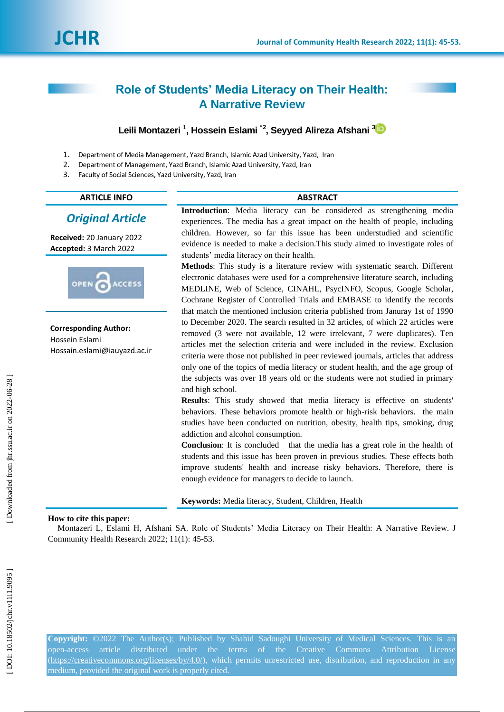# **Role of Students' Media Literacy on Their Health: A Narrative Review**

# **Leili Montazeri** 1 **, Hossein Eslami** \* **2 , Seyyed Alireza Afshani [3](https://orcid.org/0000-0002-2311-3329)**

- 1 . Department of Media Management, Yazd Branch , Islamic Azad Universit y, Yazd, Iran
- $2<sub>1</sub>$ . Department of Management, Yazd Branch, Islamic Azad University, Yazd, Iran
- 3 . Faculty of Social Sciences, Yazd University, Yazd, Iran

## **ARTICLE INFO ABSTRACT**

## *Original Article*

**Received:** 20 January 202 2 **Accepted:** 3 March 202 2



**Corresponding Author:** Hossein Eslami

Hossain.eslami@iauyazd.ac.ir

**Introduction**: Media literacy can be considered as strengthening media experiences. The media has a great impact on the health of people, including children. However, so far this issue has been understudied and scientific evidence is needed to make a decision.This study aimed to investigate roles of students' media literacy on their health.

**Methods**: This study is a literature review with systematic search. Different electronic databases were used for a comprehensive literature search, including MEDLINE, Web of Science, CINAHL, PsycINFO, Scopus, Google Scholar, Cochrane Register of Controlled Trials and EMBASE to identify the records that match the mentioned inclusion criteria published from Januray 1st of 1990 to December 2020. The search resulted in 32 articles, of which 22 articles were removed (3 were not available, 12 were irrelevant, 7 were duplicates). Ten articles met the selection criteria and were included in the review. Exclusion criteria were those not published in peer reviewed journals, articles that address only one of the topics of media literacy or student health, and the age group of the subjects was over 18 years old or the students were not studied in primary and high school.

**Results**: This study showed that media literacy is effective on students' behaviors. These behaviors promote health or high -risk behaviors. the main studies have been conducted on nutrition, obesity, health tips, smoking, drug addiction and alcohol consumption.

**Conclusion**: It is concluded that the media has a great role in the health of students and this issue has been proven in previous studies. These effects both improve students' health and increase risky behaviors. Therefore, there is enough evidence for managers to decide to launch.

**Keywords:** Media literacy, Student, Children, Health

## **How to cite this paper:**

Montazeri L, Eslami H, Afshani SA. Role of Students' Media Literacy on Their Health: A Narrative Review. J Community Health Research 2022; 11(1): 45 -53 .

**Copyright:** ©2022 The Author(s); Published by Shahid Sadoughi University of Medical Sciences. This is an open-access [\(https://creativecommons.org/licenses/by/4.0/\)](https://creativecommons.org/licenses/by/4.0/), which permits unrestricted use, distribution, and reproduction in any medium, provided the original work is properly cited.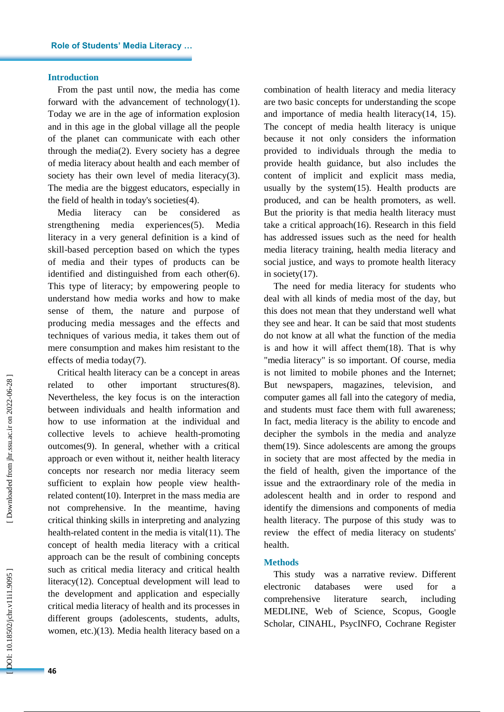### **Introduction**

From the past until now, the media has come forward with the advancement of technology(1). Today we are in the age of information explosion and in this age in the global village all the people of the planet can communicate with each other through the media(2). Every society has a degree of media literacy about health and each member of society has their own level of media literacy(3). The media are the biggest educators, especially in the field of health in today's societies(4) .

Media literacy can be considered as strengthening media experiences(5). Media literacy in a very general definition is a kind of skill -based perception based on which the types of media and their types of products can be identified and distinguished from each other(6). This type of literacy; by empowering people to understand how media works and how to make sense of them, the nature and purpose of producing media messages and the effects and techniques of various media, it takes them out of mere consumption and makes him resistant to the effects of media today(7) .

Critical health literacy can be a concept in areas related to other important structures(8). Nevertheless, the key focus is on the interaction between individuals and health information and how to use information at the individual and collective levels to achieve health -promoting outcomes(9). In general, whether with a critical approach or even without it, neither health literacy concepts nor research nor media literacy seem sufficient to explain how people view healthrelated content(10). Interpret in the mass media are not comprehensive. In the meantime, having critical thinking skills in interpreting and analyzing health -related content in the media is vital(11). The concept of health media literacy with a critical approach can be the result of combining concepts such as critical media literacy and critical health literacy(12). Conceptual development will lead to the development and application and especially critical media literacy of health and its processes in different groups (adolescents, students, adults, women, etc.)(13). Media health literacy based on a

combination of health literacy and media literacy are two basic concepts for understanding the scope and importance of media health literacy(14, 15). The concept of media health literacy is unique because it not only considers the information provided to individuals through the media to provide health guidance, but also includes the content of implicit and explicit mass media, usually by the system(15). Health products are produced, and can be health promoters, as well. But the priority is that media health literacy must take a critical approach(16). Research in this field has addressed issues such as the need for health media literacy training, health media literacy and social justice, and ways to promote health literacy in society(17) .

The need for media literacy for students who deal with all kinds of media most of the day, but this does not mean that they understand well what they see and hear. It can be said that most students do not know at all what the function of the media is and how it will affect them(18). That is why "media literacy" is so important. Of course, media is not limited to mobile phones and the Internet; But newspapers, magazines, television, and computer games all fall into the category of media, and students must face them with full awareness; In fact, media literacy is the ability to encode and decipher the symbols in the media and analyze them(19). Since adolescents are among the groups in society that are most affected by the media in the field of health, given the importance of the issue and the extraordinary role of the media in adolescent health and in order to respond and identify the dimensions and components of media health literacy . The purpose of this study was to review the effect of media literacy on students' health.

#### **Methods**

This study was a narrative review. Different electronic databases were used for a comprehensive literature search, including MEDLINE, Web of Science, Scopus, Google Scholar, CINAHL, PsycINFO, Cochrane Register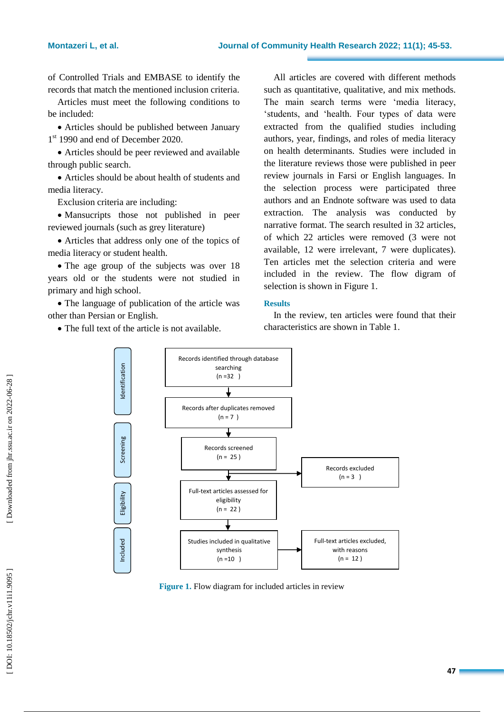of Controlled Trials and EMBASE to identify the records that match the mentioned inclusion criteria.

Articles must meet the following conditions to be included:

Articles should be published between January 1 st 1990 and end of December 2020.

 Articles should be peer reviewed and available through public search.

 Articles should be about health of students and media literacy.

Exclusion criteria are including:

 Mansucripts those not published in peer reviewed journals (such as grey literature)

 Articles that address only one of the topics of media literacy or student health.

• The age group of the subjects was over 18 years old or the students were not studied in primary and high school.

• The language of publication of the article was other than Persian or English.

The full text of the article is not available.

All articles are covered with different methods such as quantitative, qualitative, and mix methods. The main search terms were 'media literacy, 'students, and 'health. Four types of data were extracted from the qualified studies including authors, year, findings, and roles of media literacy on health determinants. Studies were included in the literature reviews those were published in peer review journals in Farsi or English languages. In the selection process were participated three authors and an Endnote software was used to data extraction. The analysis was conducted by narrative format. The search resulted in 32 articles, of which 22 articles were removed (3 were not available, 12 were irrelevant, 7 were duplicates). Ten articles met the selection criteria and were included in the review. The flow digram of selection is shown in Figure 1.

## **Results**

In the review, ten articles were found that their characteristics are shown in Table 1.



**Figure 1 .** Flow diagram for included articles in review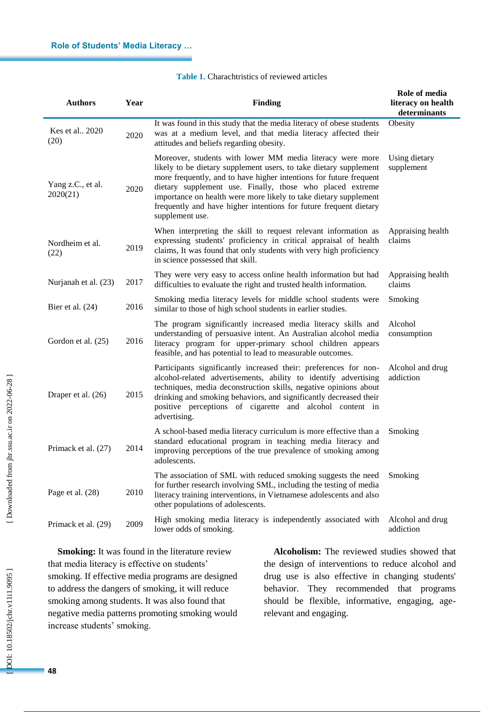| <b>Table 1.</b> Charachtristics of reviewed articles |
|------------------------------------------------------|
|------------------------------------------------------|

| <b>Authors</b>                | Year | <b>Finding</b>                                                                                                                                                                                                                                                                                                                                                                                                                | Role of media<br>literacy on health<br>determinants |
|-------------------------------|------|-------------------------------------------------------------------------------------------------------------------------------------------------------------------------------------------------------------------------------------------------------------------------------------------------------------------------------------------------------------------------------------------------------------------------------|-----------------------------------------------------|
| Kes et al., 2020<br>(20)      | 2020 | It was found in this study that the media literacy of obese students<br>was at a medium level, and that media literacy affected their<br>attitudes and beliefs regarding obesity.                                                                                                                                                                                                                                             | Obesity                                             |
| Yang z.C., et al.<br>2020(21) | 2020 | Moreover, students with lower MM media literacy were more<br>likely to be dietary supplement users, to take dietary supplement<br>more frequently, and to have higher intentions for future frequent<br>dietary supplement use. Finally, those who placed extreme<br>importance on health were more likely to take dietary supplement<br>frequently and have higher intentions for future frequent dietary<br>supplement use. | Using dietary<br>supplement                         |
| Nordheim et al.<br>(22)       | 2019 | When interpreting the skill to request relevant information as<br>expressing students' proficiency in critical appraisal of health<br>claims, It was found that only students with very high proficiency<br>in science possessed that skill.                                                                                                                                                                                  | Appraising health<br>claims                         |
| Nurjanah et al. (23)          | 2017 | They were very easy to access online health information but had<br>difficulties to evaluate the right and trusted health information.                                                                                                                                                                                                                                                                                         | Appraising health<br>claims                         |
| Bier et al. $(24)$            | 2016 | Smoking media literacy levels for middle school students were<br>similar to those of high school students in earlier studies.                                                                                                                                                                                                                                                                                                 | Smoking                                             |
| Gordon et al. (25)            | 2016 | The program significantly increased media literacy skills and<br>understanding of persuasive intent. An Australian alcohol media<br>literacy program for upper-primary school children appears<br>feasible, and has potential to lead to measurable outcomes.                                                                                                                                                                 | Alcohol<br>consumption                              |
| Draper et al. (26)            | 2015 | Participants significantly increased their: preferences for non-<br>alcohol-related advertisements, ability to identify advertising<br>techniques, media deconstruction skills, negative opinions about<br>drinking and smoking behaviors, and significantly decreased their<br>positive perceptions of cigarette and alcohol content in<br>advertising.                                                                      | Alcohol and drug<br>addiction                       |
| Primack et al. (27)           | 2014 | A school-based media literacy curriculum is more effective than a<br>standard educational program in teaching media literacy and<br>improving perceptions of the true prevalence of smoking among<br>adolescents.                                                                                                                                                                                                             | Smoking                                             |
| Page et al. (28)              | 2010 | The association of SML with reduced smoking suggests the need<br>for further research involving SML, including the testing of media<br>literacy training interventions, in Vietnamese adolescents and also<br>other populations of adolescents.                                                                                                                                                                               | Smoking                                             |
| Primack et al. (29)           | 2009 | High smoking media literacy is independently associated with<br>lower odds of smoking.                                                                                                                                                                                                                                                                                                                                        | Alcohol and drug<br>addiction                       |

**Smoking:** It was found in the literature review that media literacy is effective on students' smoking. If effective media programs are designed to address the dangers of smoking, it will reduce smoking among students. It was also found that negative media patterns promoting smoking would increase students' smoking.

**Alcoholism:** The reviewed studies showed that the design of interventions to reduce alcohol and drug use is also effective in changing students' behavior. They recommended that programs should be flexible, informative, engaging, age relevant and engaging.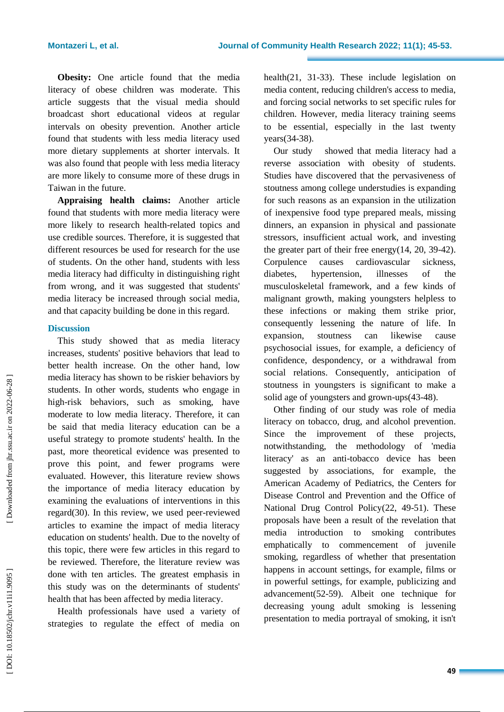**Obesity:** One article found that the media literacy of obese children was moderate. This article suggests that the visual media should broadcast short educational videos at regular intervals on obesity prevention. Another article found that students with less media literacy used more dietary supplements at shorter intervals. It was also found that people with less media literacy are more likely to consume more of these drugs in Taiwan in the future.

**Appraising health claims:** Another article found that students with more media literacy were more likely to research health -related topics and use credible sources. Therefore, it is suggested that different resources be used for research for the use of students. On the other hand, students with less media literacy had difficulty in distinguishing right from wrong, and it was suggested that students' media literacy be increased through social media, and that capacity building be done in this regard.

## **Discussion**

This study showed that as media literacy increases, students' positive behaviors that lead to better health increase. On the other hand, low media literacy has shown to be riskier behaviors by students. In other words, students who engage in high -risk behaviors, such as smoking, have moderate to low media literacy. Therefore, it can be said that media literacy education can be a useful strategy to promote students' health. In the past, more theoretical evidence was presented to prove this point, and fewer programs were evaluated. However, this literature review shows the importance of media literacy education by examining the evaluations of interventions in this regard(30). In this review, we used peer -reviewed articles to examine the impact of media literacy education on students' health. Due to the novelty of this topic, there were few articles in this regard to be reviewed. Therefore, the literature review was done with ten articles. The greatest emphasis in this study was on the determinants of students' health that has been affected by media literacy.

Health professionals have used a variety of strategies to regulate the effect of media on

health(21, 31 -33). These include legislation on media content, reducing children's access to media, and forcing social networks to set specific rules for children. However, media literacy training seems to be essential, especially in the last twenty years(34 -38) .

Our study showed that media literacy had a reverse association with obesity of students. Studies have discovered that the pervasiveness of stoutness among college understudies is expanding for such reasons as an expansion in the utilization of inexpensive food type prepared meals, missing dinners, an expansion in physical and passionate stressors, insufficient actual work, and investing the greater part of their free energy(14, 20, 39 -42). Corpulence causes cardiovascular sickness, diabetes, hypertension, illnesses of the musculoskeletal framework, and a few kinds of malignant growth, making youngsters helpless to these infections or making them strike prior, consequently lessening the nature of life. In expansion, stoutness can likewise cause psychosocial issues, for example, a deficiency of confidence, despondency, or a withdrawal from social relations. Consequently, anticipation of stoutness in youngsters is significant to make a solid age of youngsters and grown-ups(43-48).

Other finding of our study was role of media literacy on tobacco, drug, and alcohol prevention. Since the improvement of these projects, notwithstanding, the methodology of 'media literacy' as an anti -tobacco device has been suggested by associations, for example, the American Academy of Pediatrics, the Centers for Disease Control and Prevention and the Office of National Drug Control Policy(22, 49-51). These proposals have been a result of the revelation that media introduction to smoking contributes emphatically to commencement of juvenile smoking, regardless of whether that presentation happens in account settings, for example, films or in powerful settings, for example, publicizing and advancement(52 -59). Albeit one technique for decreasing young adult smoking is lessening presentation to media portrayal of smoking, it isn't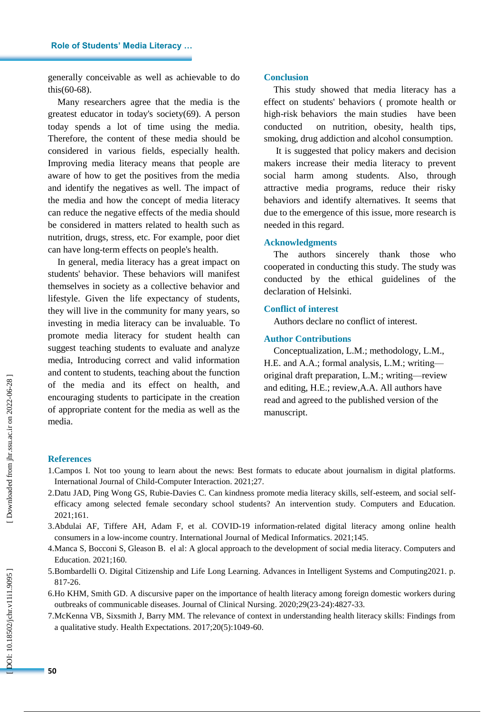generally conceivable as well as achievable to do this(60 -68) .

Many researchers agree that the media is the greatest educator in today's society(69). A person today spends a lot of time using the media. Therefore, the content of these media should be considered in various fields, especially health. Improving media literacy means that people are aware of how to get the positives from the media and identify the negatives as well. The impact of the media and how the concept of media literacy can reduce the negative effects of the media should be considered in matters related to health such as nutrition, drugs, stress, etc. For example, poor diet can have long -term effects on people's health.

In general, media literacy has a great impact on students' behavior. These behaviors will manifest themselves in society as a collective behavior and lifestyle. Given the life expectancy of students, they will live in the community for many years, so investing in media literacy can be invaluable. To promote media literacy for student health can suggest teaching students to evaluate and analyze media, Introducing correct and valid information and content to students, teaching about the function of the media and its effect on health, and encouraging students to participate in the creation of appropriate content for the media as well as the media.

#### **Conclusion**

This study showed that media literacy has a effect on students' behaviors ( promote health or high -risk behaviors the main studies have been conducted on nutrition, obesity, health tips, smoking, drug addiction and alcohol consumption .

It is suggested that policy makers and decision makers increase their media literacy to prevent social harm among students. Also, through attractive media programs, reduce their risky behaviors and identify alternatives. It seems that due to the emergence of this issue, more research is needed in this regard.

## **Acknowledgments**

The authors sincerely thank those who cooperated in conducting this study. The study was conducted by the ethical guidelines of the declaration of Helsinki.

#### **Conflict of interest**

Authors declare no conflict of interest.

## **Author Contributions**

Conceptualization, L . M.; methodology, L.M., H.E. and A.A.; formal analysis, L.M.; writingoriginal draft preparation, L . M.; writing —review and editing, H . E.; review, A . A. All authors have read and agreed to the published version of the manuscript.

#### **References**

- 1.Campos I. Not too young to learn about the news: Best formats to educate about journalism in digital platforms. International Journal of Child -Computer Interaction. 2021;27.
- 2.Datu JAD, Ping Wong GS, Rubie -Davies C. Can kindness promote media literacy skills, self -esteem, and social selfefficacy among selected female secondary school students? An intervention study. Computers and Education. 2021;161.
- 3.Abdulai AF, Tiffere AH, Adam F, et al. COVID -19 information -related digital literacy among online health consumers in a low -income country. International Journal of Medical Informatics. 2021;145.
- 4.Manca S, Bocconi S, Gleason B. el al: A glocal approach to the development of social media literacy. Computers and Education. 2021;160.
- 5.Bombardelli O. Digital Citizenship and Life Long Learning. Advances in Intelligent Systems and Computing2021. p. 817 -26.
- 6.Ho KHM, Smith GD. A discursive paper on the importance of health literacy among foreign domestic workers during outbreaks of communicable diseases. Journal of Clinical Nursing. 2020;29(23 -24):4827 -33.
- 7.McKenna VB, Sixsmith J, Barry MM. The relevance of context in understanding health literacy skills: Findings from a qualitative study. Health Expectations. 2017;20(5):1049 -60.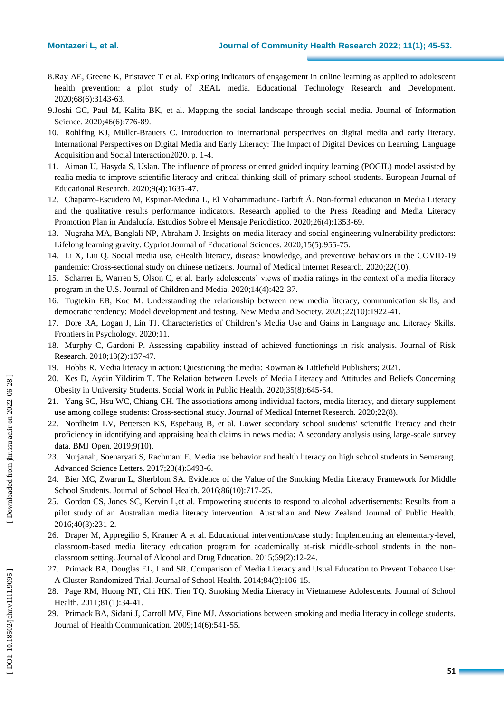- 8.Ray AE, Greene K, Pristavec T et al. Exploring indicators of engagement in online learning as applied to adolescent health prevention: a pilot study of REAL media. Educational Technology Research and Development. 2020;68(6):3143 -63.
- 9.Joshi GC, Paul M, Kalita BK, et al. Mapping the social landscape through social media. Journal of Information Science. 2020;46(6):776 -89.
- 10. Rohlfing KJ, Müller -Brauers C. Introduction to international perspectives on digital media and early literacy. International Perspectives on Digital Media and Early Literacy: The Impact of Digital Devices on Learning, Language Acquisition and Social Interaction2020. p. 1 -4.
- 11. Aiman U, Hasyda S, Uslan. The influence of process oriented guided inquiry learning (POGIL) model assisted by realia media to improve scientific literacy and critical thinking skill of primary school students. European Journal of Educational Research. 2020;9(4):1635 -47.
- 12. Chaparro -Escudero M, Espinar -Medina L, El Mohammadiane -Tarbift Á. Non -formal education in Media Literacy and the qualitative results performance indicators. Research applied to the Press Reading and Media Literacy Promotion Plan in Andalucía. Estudios Sobre el Mensaje Periodistico. 2020;26(4):1353 -69.
- 13. Nugraha MA, Banglali NP, Abraham J. Insights on media literacy and social engineering vulnerability predictors: Lifelong learning gravity. Cypriot Journal of Educational Sciences. 2020;15(5):955 -75.
- 14. Li X, Liu Q. Social media use, eHealth literacy, disease knowledge, and preventive behaviors in the COVID -19 pandemic: Cross -sectional study on chinese netizens. Journal of Medical Internet Research. 2020;22(10).
- 15. Scharrer E, Warren S, Olson C, et al. Early adolescents' views of media ratings in the context of a media literacy program in the U.S. Journal of Children and Media. 2020;14(4):422 -37.
- 16. Tugtekin EB, Koc M. Understanding the relationship between new media literacy, communication skills, and democratic tendency: Model development and testing. New Media and Society. 2020;22(10):1922 -41.
- 17. Dore RA, Logan J, Lin TJ. Characteristics of Children's Media Use and Gains in Language and Literacy Skills. Frontiers in Psychology. 2020;11.
- 18. Murphy C, Gardoni P. Assessing capability instead of achieved functionings in risk analysis. Journal of Risk Research. 2010;13(2):137 -47.
- 19. Hobbs R. Media literacy in action: Questioning the media: Rowman & Littlefield Publishers; 2021.
- 20. Kes D, Aydin Yildirim T. The Relation between Levels of Media Literacy and Attitudes and Beliefs Concerning Obesity in University Students. Social Work in Public Health. 2020;35(8):645 -54.
- 21. Yang SC, Hsu WC, Chiang CH. The associations among individual factors, media literacy, and dietary supplement use among college students: Cross -sectional study. Journal of Medical Internet Research. 2020;22(8).
- 22. Nordheim LV, Pettersen KS, Espehaug B, et al. Lower secondary school students' scientific literacy and their proficiency in identifying and appraising health claims in news media: A secondary analysis using large-scale survey data. BMJ Open. 2019;9(10).
- 23 . Nurjanah, Soenaryati S, Rachmani E. Media use behavior and health literacy on high school students in Semarang. Advanced Science Letters. 2017;23(4):3493 -6.
- 24. Bier MC, Zwarun L, Sherblom SA. Evidence of the Value of the Smoking Media Literacy Framework for Middle School Students. Journal of School Health. 2016;86(10):717 -25.
- 25. Gordon CS, Jones SC, Kervin L,et al. Empowering students to respond to alcohol advertisements: Results from a pilot study of an Australian media literacy intervention. Australian and New Zealand Journal of Public Health. 2016;40(3):231 -2.
- 26. Draper M, Appregilio S, Kramer A et al. Educational intervention/case study: Implementing an elementary-level, classroom-based media literacy education program for academically at-risk middle-school students in the nonclassroom setting. Journal of Alcohol and Drug Education. 2015;59(2):12 -24.
- 27. Primack BA, Douglas EL, Land SR. Comparison of Media Literacy and Usual Education to Prevent Tobacco Use: A Cluster -Randomized Trial. Journal of School Health. 2014;84(2):106 -15.
- 28. Page RM, Huong NT, Chi HK, Tien TQ. Smoking Media Literacy in Vietnamese Adolescents. Journal of School Health. 2011;81(1):34 -41.
- 29. Primack BA, Sidani J, Carroll MV, Fine MJ. Associations between smoking and media literacy in college students. Journal of Health Communication. 2009;14(6):541 -55.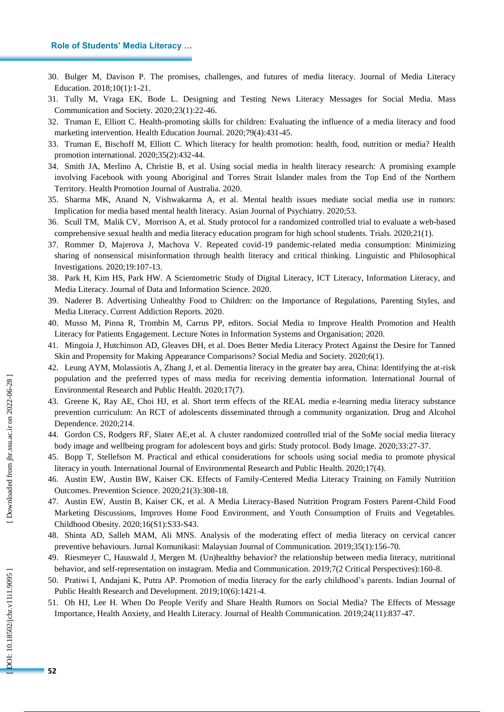#### **Role of Students' Media Literacy …**

- 30. Bulger M, Davison P. The promises, challenges, and futures of media literacy. Journal of Media Literacy Education. 2018;10(1):1 -21.
- 31. Tully M, Vraga EK, Bode L. Designing and Testing News Literacy Messages for Social Media. Mass Communication and Society. 2020;23(1):22 -46.
- 32. Truman E, Elliott C. Health -promoting skills for children: Evaluating the influence of a media literacy and food marketing intervention. Health Education Journal. 2020;79(4):431 -45.
- 33. Truman E, Bischoff M, Elliott C. Which literacy for health promotion: health, food, nutrition or media? Health promotion international. 2020;35(2):432 -44.
- 34. Smith JA, Merlino A, Christie B, et al. Using social media in health literacy research: A promising example involving Facebook with young Aboriginal and Torres Strait Islander males from the Top End of the Northern Territory. Health Promotion Journal of Australia. 2020.
- 35. Sharma MK, Anand N, Vishwakarma A, et al. Mental health issues mediate social media use in rumors: Implication for media based mental health literacy. Asian Journal of Psychiatry. 2020;53.
- 36. Scull TM, Malik CV, Morrison A, et al. Study protocol for a randomized controlled trial to evaluate a web -based comprehensive sexual health and media literacy education program for high school students. Trials. 2020;21(1).
- 37. Rommer D, Majerova J, Machova V. Repeated covid -19 pandemic -related media consumption: Minimizing sharing of nonsensical misinformation through health literacy and critical thinking. Linguistic and Philosophical Investigations. 2020;19:107 -13.
- 38. Park H, Kim HS, Park HW. A Scientometric Study of Digital Literacy, ICT Literacy, Information Literacy, and Media Literacy. Journal of Data and Information Science. 2020.
- 39. Naderer B. Advertising Unhealthy Food to Children: on the Importance of Regulations, Parenting Styles, and Media Literacy. Current Addiction Reports. 2020.
- 40. Musso M, Pinna R, Trombin M, Carrus PP, editors. Social Media to Improve Health Promotion and Health Literacy for Patients Engagement. Lecture Notes in Information Systems and Organisation; 2020.
- 41. Mingoia J, Hutchinson AD, Gleaves DH, et al. Does Better Media Literacy Protect Against the Desire for Tanned Skin and Propensity for Making Appearance Comparisons? Social Media and Society. 2020;6(1).
- 42. Leung AYM, Molassiotis A, Zhang J, et al. Dementia literacy in the greater bay area, China: Identifying the at -risk population and the preferred types of mass media for receiving dementia information. International Journal of Environmental Research and Public Health. 2020;17(7).
- 43. Greene K, Ray AE, Choi HJ, et al. Short term effects of the REAL media e -learning media literacy substance prevention curriculum: An RCT of adolescents disseminated through a community organization. Drug and Alcohol Dependence. 2020;214.
- 44. Gordon CS, Rodgers RF, Slater AE,et al. A cluster randomized controlled trial of the SoMe social media literacy body image and wellbeing program for adolescent boys and girls: Study protocol. Body Image. 2020;33:27 -37.
- 45. Bopp T, Stellefson M. Practical and ethical considerations for schools using social media to promote physical literacy in youth. International Journal of Environmental Research and Public Health. 2020;17(4).
- 46. Austin EW, Austin BW, Kaiser CK. Effects of Family -Centered Media Literacy Training on Family Nutrition Outcomes. Prevention Science. 2020;21(3):308 -18.
- 47. Austin EW, Austin B, Kaiser CK, et al. A Media Literacy -Based Nutrition Program Fosters Parent -Child Food Marketing Discussions, Improves Home Food Environment, and Youth Consumption of Fruits and Vegetables. Childhood Obesity. 2020;16(S1):S33 -S43.
- 48. Shinta AD, Salleh MAM, Ali MNS. Analysis of the moderating effect of media literacy on cervical cancer preventive behaviours. Jurnal Komunikasi: Malaysian Journal of Communication. 2019;35(1):156 -70.
- 49. Riesmeyer C, Hauswald J, Mergen M. (Un)healthy behavior? the relationship between media literacy, nutritional behavior, and self-representation on instagram. Media and Communication. 2019;7(2 Critical Perspectives):160 -8.
- 50. Pratiwi I, Andajani K, Putra AP. Promotion of media literacy for the early childhood's parents. Indian Journal of Public Health Research and Development. 2019;10(6):1421 -4.
- 51. Oh HJ, Lee H. When Do People Verify and Share Health Rumors on Social Media? The Effects of Message Importance, Health Anxiety, and Health Literacy. Journal of Health Communication. 2019;24(11):837 -47.